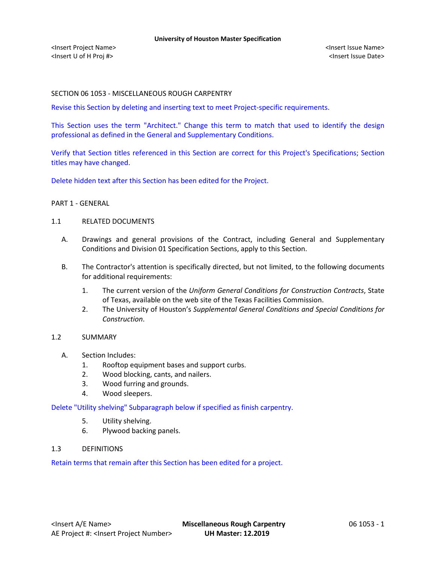## SECTION 06 1053 - MISCELLANEOUS ROUGH CARPENTRY

Revise this Section by deleting and inserting text to meet Project-specific requirements.

This Section uses the term "Architect." Change this term to match that used to identify the design professional as defined in the General and Supplementary Conditions.

Verify that Section titles referenced in this Section are correct for this Project's Specifications; Section titles may have changed.

Delete hidden text after this Section has been edited for the Project.

## PART 1 - GENERAL

## 1.1 RELATED DOCUMENTS

- A. Drawings and general provisions of the Contract, including General and Supplementary Conditions and Division 01 Specification Sections, apply to this Section.
- B. The Contractor's attention is specifically directed, but not limited, to the following documents for additional requirements:
	- 1. The current version of the *Uniform General Conditions for Construction Contracts*, State of Texas, available on the web site of the Texas Facilities Commission.
	- 2. The University of Houston's *Supplemental General Conditions and Special Conditions for Construction*.

## 1.2 SUMMARY

- A. Section Includes:
	- 1. Rooftop equipment bases and support curbs.
	- 2. Wood blocking, cants, and nailers.
	- 3. Wood furring and grounds.
	- 4. Wood sleepers.

Delete "Utility shelving" Subparagraph below if specified as finish carpentry.

- 5. Utility shelving.
- 6. Plywood backing panels.
- 1.3 DEFINITIONS

Retain terms that remain after this Section has been edited for a project.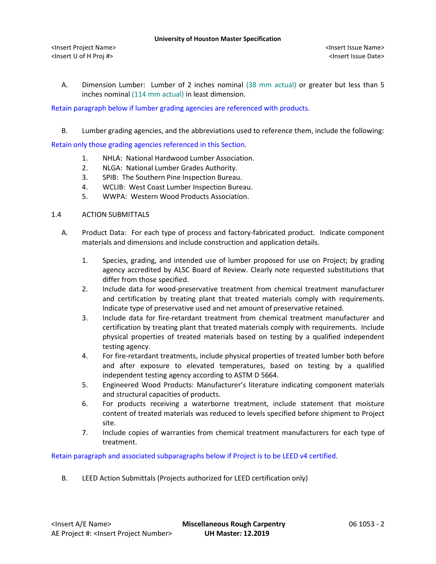A. Dimension Lumber: Lumber of 2 inches nominal (38 mm actual) or greater but less than 5 inches nominal (114 mm actual) in least dimension.

Retain paragraph below if lumber grading agencies are referenced with products.

B. Lumber grading agencies, and the abbreviations used to reference them, include the following:

Retain only those grading agencies referenced in this Section.

- 1. NHLA: National Hardwood Lumber Association.
- 2. NLGA: National Lumber Grades Authority.
- 3. SPIB: The Southern Pine Inspection Bureau.
- 4. WCLIB: West Coast Lumber Inspection Bureau.
- 5. WWPA: Western Wood Products Association.

## 1.4 ACTION SUBMITTALS

- A. Product Data: For each type of process and factory-fabricated product. Indicate component materials and dimensions and include construction and application details.
	- 1. Species, grading, and intended use of lumber proposed for use on Project; by grading agency accredited by ALSC Board of Review. Clearly note requested substitutions that differ from those specified.
	- 2. Include data for wood-preservative treatment from chemical treatment manufacturer and certification by treating plant that treated materials comply with requirements. Indicate type of preservative used and net amount of preservative retained.
	- 3. Include data for fire-retardant treatment from chemical treatment manufacturer and certification by treating plant that treated materials comply with requirements. Include physical properties of treated materials based on testing by a qualified independent testing agency.
	- 4. For fire-retardant treatments, include physical properties of treated lumber both before and after exposure to elevated temperatures, based on testing by a qualified independent testing agency according to ASTM D 5664.
	- 5. Engineered Wood Products: Manufacturer's literature indicating component materials and structural capacities of products.
	- 6. For products receiving a waterborne treatment, include statement that moisture content of treated materials was reduced to levels specified before shipment to Project site.
	- 7. Include copies of warranties from chemical treatment manufacturers for each type of treatment.

Retain paragraph and associated subparagraphs below if Project is to be LEED v4 certified.

B. LEED Action Submittals (Projects authorized for LEED certification only)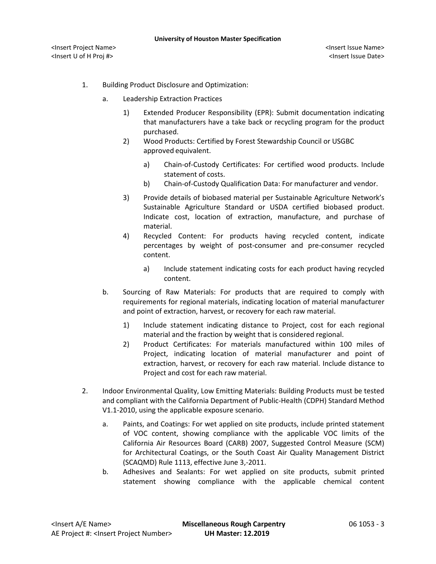- 1. Building Product Disclosure and Optimization:
	- a. Leadership Extraction Practices
		- 1) Extended Producer Responsibility (EPR): Submit documentation indicating that manufacturers have a take back or recycling program for the product purchased.
		- 2) Wood Products: Certified by Forest Stewardship Council or USGBC approved equivalent.
			- a) [Chain-of-Custody Certificates:](http://www.arcomnet.com/sustainable_design.aspx?topic=146) For certified wood products. Include statement of costs.
			- b) [Chain-of-Custody Qualification Data:](http://www.arcomnet.com/sustainable_design.aspx?topic=148) For manufacturer and vendor.
		- 3) Provide details of biobased material per Sustainable Agriculture Network's Sustainable Agriculture Standard or USDA certified biobased product. Indicate cost, location of extraction, manufacture, and purchase of material.
		- 4) Recycled Content: For products having recycled content, indicate percentages by weight of post-consumer and pre-consumer recycled content.
			- a) Include statement indicating costs for each product having recycled content.
	- b. Sourcing of Raw Materials: For products that are required to comply with requirements for regional materials, indicating location of material manufacturer and point of extraction, harvest, or recovery for each raw material.
		- 1) Include statement indicating distance to Project, cost for each regional material and the fraction by weight that is considered regional.
		- 2) Product Certificates: For materials manufactured within 100 miles of Project, indicating location of material manufacturer and point of extraction, harvest, or recovery for each raw material. Include distance to Project and cost for each raw material.
- 2. Indoor Environmental Quality, Low Emitting Materials: Building Products must be tested and compliant with the California Department of Public-Health (CDPH) Standard Method V1.1-2010, using the applicable exposure scenario.
	- a. Paints, and Coatings: For wet applied on site products, include printed statement of VOC content, showing compliance with the applicable VOC limits of the California Air Resources Board (CARB) 2007, Suggested Control Measure (SCM) for Architectural Coatings, or the South Coast Air Quality Management District (SCAQMD) Rule 1113, effective June 3,-2011.
	- b. Adhesives and Sealants: For wet applied on site products, submit printed statement showing compliance with the applicable chemical content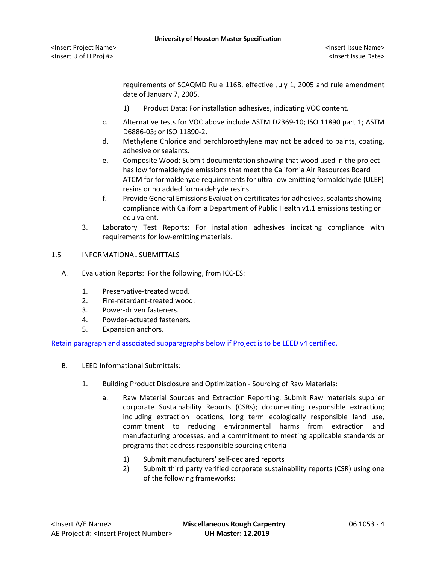<Insert Project Name> <Insert Issue Name> <Insert U of H Proj #> <Insert Issue Date>

requirements of SCAQMD Rule 1168, effective July 1, 2005 and rule amendment date of January 7, 2005.

- 1) Product Data: For installation adhesives, indicating VOC content.
- c. Alternative tests for VOC above include ASTM D2369-10; ISO 11890 part 1; ASTM D6886-03; or ISO 11890-2.
- d. Methylene Chloride and perchloroethylene may not be added to paints, coating, adhesive or sealants.
- e. Composite Wood: Submit documentation showing that wood used in the project has low formaldehyde emissions that meet the California Air Resources Board ATCM for formaldehyde requirements for ultra-low emitting formaldehyde (ULEF) resins or no added formaldehyde resins.
- f. Provide General Emissions Evaluation certificates for adhesives, sealants showing compliance with California Department of Public Health v1.1 emissions testing or equivalent.
- 3. Laboratory Test Reports: For installation adhesives indicating compliance with requirements for low-emitting materials.

## 1.5 INFORMATIONAL SUBMITTALS

- A. Evaluation Reports: For the following, from ICC-ES:
	- 1. Preservative-treated wood.
	- 2. Fire-retardant-treated wood.
	- 3. Power-driven fasteners.
	- 4. Powder-actuated fasteners.
	- 5. Expansion anchors.

Retain paragraph and associated subparagraphs below if Project is to be LEED v4 certified.

- B. LEED Informational Submittals:
	- 1. Building Product Disclosure and Optimization Sourcing of Raw Materials:
		- a. Raw Material Sources and Extraction Reporting: Submit Raw materials supplier corporate Sustainability Reports (CSRs); documenting responsible extraction; including extraction locations, long term ecologically responsible land use, commitment to reducing environmental harms from extraction and manufacturing processes, and a commitment to meeting applicable standards or programs that address responsible sourcing criteria
			- 1) Submit manufacturers' self-declared reports
			- 2) Submit third party verified corporate sustainability reports (CSR) using one of the following frameworks: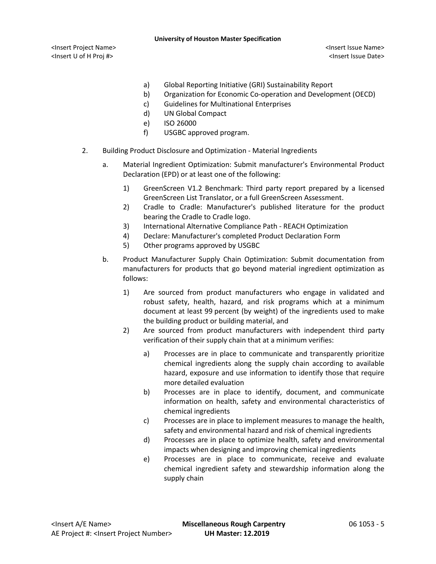<Insert Project Name> <Insert Issue Name> <Insert U of H Proj #> <Insert Issue Date>

- a) Global Reporting Initiative (GRI) Sustainability Report
- b) Organization for Economic Co-operation and Development (OECD)
- c) Guidelines for Multinational Enterprises
- d) UN Global Compact
- e) ISO 26000
- f) USGBC approved program.
- 2. Building Product Disclosure and Optimization Material Ingredients
	- a. Material Ingredient Optimization: Submit manufacturer's Environmental Product Declaration (EPD) or at least one of the following:
		- 1) GreenScreen V1.2 Benchmark: Third party report prepared by a licensed GreenScreen List Translator, or a full GreenScreen Assessment.
		- 2) Cradle to Cradle: Manufacturer's published literature for the product bearing the Cradle to Cradle logo.
		- 3) International Alternative Compliance Path REACH Optimization
		- 4) Declare: Manufacturer's completed Product Declaration Form
		- 5) Other programs approved by USGBC
	- b. Product Manufacturer Supply Chain Optimization: Submit documentation from manufacturers for products that go beyond material ingredient optimization as follows:
		- 1) Are sourced from product manufacturers who engage in validated and robust safety, health, hazard, and risk programs which at a minimum document at least 99 percent (by weight) of the ingredients used to make the building product or building material, and
		- 2) Are sourced from product manufacturers with independent third party verification of their supply chain that at a minimum verifies:
			- a) Processes are in place to communicate and transparently prioritize chemical ingredients along the supply chain according to available hazard, exposure and use information to identify those that require more detailed evaluation
			- b) Processes are in place to identify, document, and communicate information on health, safety and environmental characteristics of chemical ingredients
			- c) Processes are in place to implement measures to manage the health, safety and environmental hazard and risk of chemical ingredients
			- d) Processes are in place to optimize health, safety and environmental impacts when designing and improving chemical ingredients
			- e) Processes are in place to communicate, receive and evaluate chemical ingredient safety and stewardship information along the supply chain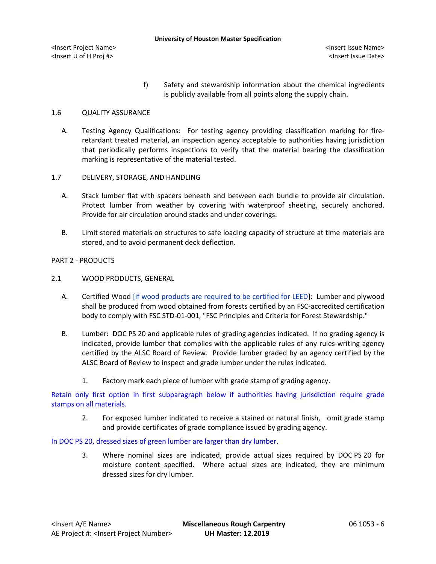<Insert U of H Proj #> <Insert Issue Date>

f) Safety and stewardship information about the chemical ingredients is publicly available from all points along the supply chain.

# 1.6 QUALITY ASSURANCE

- A. Testing Agency Qualifications: For testing agency providing classification marking for fireretardant treated material, an inspection agency acceptable to authorities having jurisdiction that periodically performs inspections to verify that the material bearing the classification marking is representative of the material tested.
- 1.7 DELIVERY, STORAGE, AND HANDLING
	- A. Stack lumber flat with spacers beneath and between each bundle to provide air circulation. Protect lumber from weather by covering with waterproof sheeting, securely anchored. Provide for air circulation around stacks and under coverings.
	- B. Limit stored materials on structures to safe loading capacity of structure at time materials are stored, and to avoid permanent deck deflection.

# PART 2 - PRODUCTS

- 2.1 WOOD PRODUCTS, GENERAL
	- A. Certified Wood [if wood products are required to be certified for LEED]: Lumber and plywood shall be produced from wood obtained from forests certified by an FSC-accredited certification body to comply with FSC STD-01-001, "FSC Principles and Criteria for Forest Stewardship."
	- B. Lumber: DOC PS 20 and applicable rules of grading agencies indicated. If no grading agency is indicated, provide lumber that complies with the applicable rules of any rules-writing agency certified by the ALSC Board of Review. Provide lumber graded by an agency certified by the ALSC Board of Review to inspect and grade lumber under the rules indicated.
		- 1. Factory mark each piece of lumber with grade stamp of grading agency.

Retain only first option in first subparagraph below if authorities having jurisdiction require grade stamps on all materials.

2. For exposed lumber indicated to receive a stained or natural finish, omit grade stamp and provide certificates of grade compliance issued by grading agency.

# In DOC PS 20, dressed sizes of green lumber are larger than dry lumber.

3. Where nominal sizes are indicated, provide actual sizes required by DOC PS 20 for moisture content specified. Where actual sizes are indicated, they are minimum dressed sizes for dry lumber.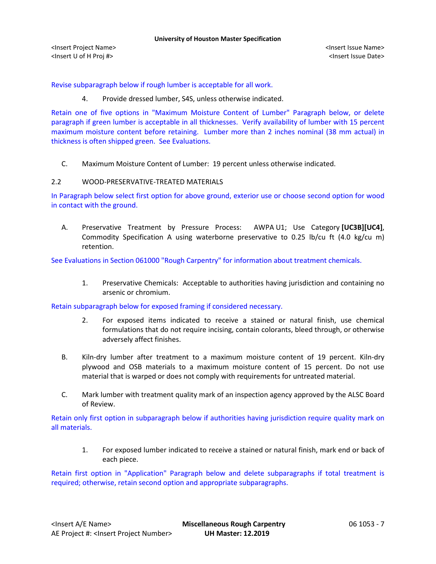<Insert Project Name> <Insert Issue Name> <Insert U of H Proj #> <Insert Issue Date>

Revise subparagraph below if rough lumber is acceptable for all work.

4. Provide dressed lumber, S4S, unless otherwise indicated.

Retain one of five options in "Maximum Moisture Content of Lumber" Paragraph below, or delete paragraph if green lumber is acceptable in all thicknesses. Verify availability of lumber with 15 percent maximum moisture content before retaining. Lumber more than 2 inches nominal (38 mm actual) in thickness is often shipped green. See Evaluations.

C. Maximum Moisture Content of Lumber: 19 percent unless otherwise indicated.

## 2.2 WOOD-PRESERVATIVE-TREATED MATERIALS

In Paragraph below select first option for above ground, exterior use or choose second option for wood in contact with the ground.

A. Preservative Treatment by Pressure Process: AWPA U1; Use Category **[UC3B][UC4]**, Commodity Specification A using waterborne preservative to 0.25 lb/cu ft (4.0 kg/cu m) retention.

See Evaluations in Section 061000 "Rough Carpentry" for information about treatment chemicals.

1. Preservative Chemicals: Acceptable to authorities having jurisdiction and containing no arsenic or chromium.

Retain subparagraph below for exposed framing if considered necessary.

- 2. For exposed items indicated to receive a stained or natural finish, use chemical formulations that do not require incising, contain colorants, bleed through, or otherwise adversely affect finishes.
- B. Kiln-dry lumber after treatment to a maximum moisture content of 19 percent. Kiln-dry plywood and OSB materials to a maximum moisture content of 15 percent. Do not use material that is warped or does not comply with requirements for untreated material.
- C. Mark lumber with treatment quality mark of an inspection agency approved by the ALSC Board of Review.

Retain only first option in subparagraph below if authorities having jurisdiction require quality mark on all materials.

1. For exposed lumber indicated to receive a stained or natural finish, mark end or back of each piece.

Retain first option in "Application" Paragraph below and delete subparagraphs if total treatment is required; otherwise, retain second option and appropriate subparagraphs.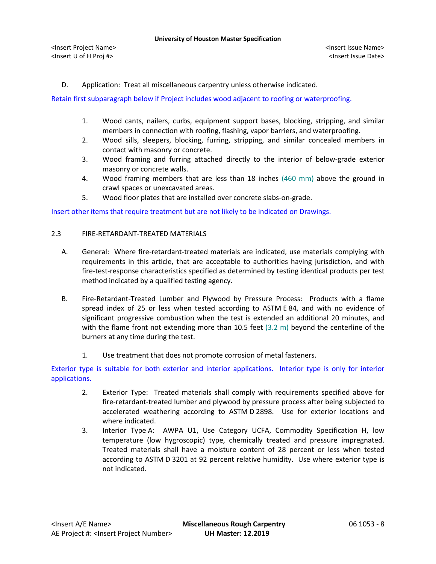D. Application: Treat all miscellaneous carpentry unless otherwise indicated.

Retain first subparagraph below if Project includes wood adjacent to roofing or waterproofing.

- 1. Wood cants, nailers, curbs, equipment support bases, blocking, stripping, and similar members in connection with roofing, flashing, vapor barriers, and waterproofing.
- 2. Wood sills, sleepers, blocking, furring, stripping, and similar concealed members in contact with masonry or concrete.
- 3. Wood framing and furring attached directly to the interior of below-grade exterior masonry or concrete walls.
- 4. Wood framing members that are less than 18 inches (460 mm) above the ground in crawl spaces or unexcavated areas.
- 5. Wood floor plates that are installed over concrete slabs-on-grade.

Insert other items that require treatment but are not likely to be indicated on Drawings.

## 2.3 FIRE-RETARDANT-TREATED MATERIALS

- A. General: Where fire-retardant-treated materials are indicated, use materials complying with requirements in this article, that are acceptable to authorities having jurisdiction, and with fire-test-response characteristics specified as determined by testing identical products per test method indicated by a qualified testing agency.
- B. Fire-Retardant-Treated Lumber and Plywood by Pressure Process: Products with a flame spread index of 25 or less when tested according to ASTM E 84, and with no evidence of significant progressive combustion when the test is extended an additional 20 minutes, and with the flame front not extending more than 10.5 feet (3.2 m) beyond the centerline of the burners at any time during the test.
	- 1. Use treatment that does not promote corrosion of metal fasteners.

Exterior type is suitable for both exterior and interior applications. Interior type is only for interior applications.

- 2. Exterior Type: Treated materials shall comply with requirements specified above for fire-retardant-treated lumber and plywood by pressure process after being subjected to accelerated weathering according to ASTM D 2898. Use for exterior locations and where indicated.
- 3. Interior Type A: AWPA U1, Use Category UCFA, Commodity Specification H, low temperature (low hygroscopic) type, chemically treated and pressure impregnated. Treated materials shall have a moisture content of 28 percent or less when tested according to ASTM D 3201 at 92 percent relative humidity. Use where exterior type is not indicated.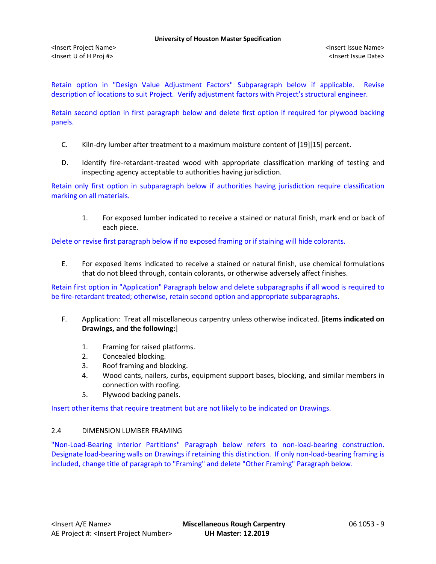Retain option in "Design Value Adjustment Factors" Subparagraph below if applicable. Revise description of locations to suit Project. Verify adjustment factors with Project's structural engineer.

Retain second option in first paragraph below and delete first option if required for plywood backing panels.

- C. Kiln-dry lumber after treatment to a maximum moisture content of [19][15] percent.
- D. Identify fire-retardant-treated wood with appropriate classification marking of testing and inspecting agency acceptable to authorities having jurisdiction.

Retain only first option in subparagraph below if authorities having jurisdiction require classification marking on all materials.

1. For exposed lumber indicated to receive a stained or natural finish, mark end or back of each piece.

Delete or revise first paragraph below if no exposed framing or if staining will hide colorants.

E. For exposed items indicated to receive a stained or natural finish, use chemical formulations that do not bleed through, contain colorants, or otherwise adversely affect finishes.

Retain first option in "Application" Paragraph below and delete subparagraphs if all wood is required to be fire-retardant treated; otherwise, retain second option and appropriate subparagraphs.

- F. Application: Treat all miscellaneous carpentry unless otherwise indicated. [**items indicated on Drawings, and the following:**]
	- 1. Framing for raised platforms.
	- 2. Concealed blocking.
	- 3. Roof framing and blocking.
	- 4. Wood cants, nailers, curbs, equipment support bases, blocking, and similar members in connection with roofing.
	- 5. Plywood backing panels.

Insert other items that require treatment but are not likely to be indicated on Drawings.

## 2.4 DIMENSION LUMBER FRAMING

"Non-Load-Bearing Interior Partitions" Paragraph below refers to non-load-bearing construction. Designate load-bearing walls on Drawings if retaining this distinction. If only non-load-bearing framing is included, change title of paragraph to "Framing" and delete "Other Framing" Paragraph below.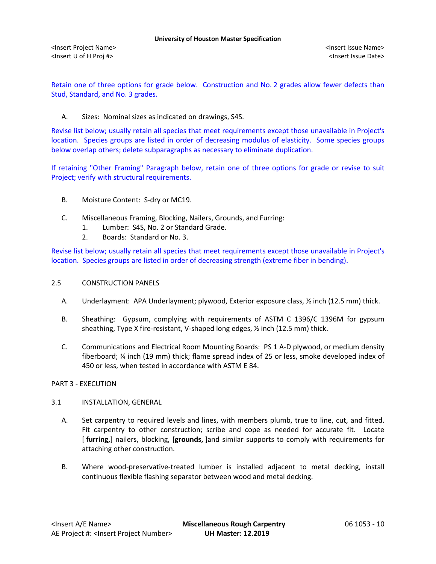Retain one of three options for grade below. Construction and No. 2 grades allow fewer defects than Stud, Standard, and No. 3 grades.

## A. Sizes: Nominal sizes as indicated on drawings, S4S.

Revise list below; usually retain all species that meet requirements except those unavailable in Project's location. Species groups are listed in order of decreasing modulus of elasticity. Some species groups below overlap others; delete subparagraphs as necessary to eliminate duplication.

If retaining "Other Framing" Paragraph below, retain one of three options for grade or revise to suit Project; verify with structural requirements.

- B. Moisture Content: S-dry or MC19.
- C. Miscellaneous Framing, Blocking, Nailers, Grounds, and Furring:
	- 1. Lumber: S4S, No. 2 or Standard Grade.
	- 2. Boards: Standard or No. 3.

Revise list below; usually retain all species that meet requirements except those unavailable in Project's location. Species groups are listed in order of decreasing strength (extreme fiber in bending).

## 2.5 CONSTRUCTION PANELS

- A. Underlayment: APA Underlayment; plywood, Exterior exposure class, ½ inch (12.5 mm) thick.
- B. Sheathing: Gypsum, complying with requirements of ASTM C 1396/C 1396M for gypsum sheathing, Type X fire-resistant, V-shaped long edges, ½ inch (12.5 mm) thick.
- C. Communications and Electrical Room Mounting Boards: PS 1 A-D plywood, or medium density fiberboard; ¾ inch (19 mm) thick; flame spread index of 25 or less, smoke developed index of 450 or less, when tested in accordance with ASTM E 84.

## PART 3 - EXECUTION

## 3.1 INSTALLATION, GENERAL

- A. Set carpentry to required levels and lines, with members plumb, true to line, cut, and fitted. Fit carpentry to other construction; scribe and cope as needed for accurate fit. Locate [ **furring,**] nailers, blocking, [**grounds,** ]and similar supports to comply with requirements for attaching other construction.
- B. Where wood-preservative-treated lumber is installed adjacent to metal decking, install continuous flexible flashing separator between wood and metal decking.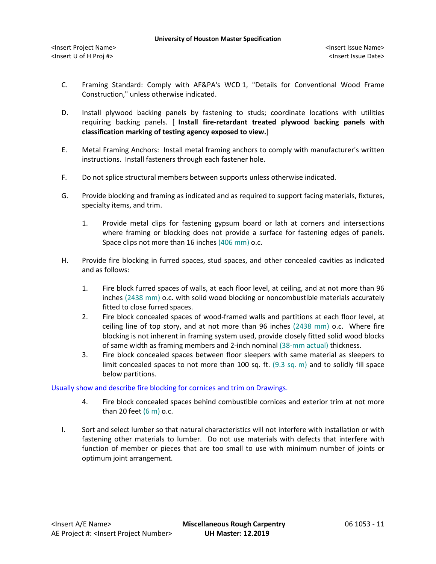- C. Framing Standard: Comply with AF&PA's WCD 1, "Details for Conventional Wood Frame Construction," unless otherwise indicated.
- D. Install plywood backing panels by fastening to studs; coordinate locations with utilities requiring backing panels. [ **Install fire-retardant treated plywood backing panels with classification marking of testing agency exposed to view.**]
- E. Metal Framing Anchors: Install metal framing anchors to comply with manufacturer's written instructions. Install fasteners through each fastener hole.
- F. Do not splice structural members between supports unless otherwise indicated.
- G. Provide blocking and framing as indicated and as required to support facing materials, fixtures, specialty items, and trim.
	- 1. Provide metal clips for fastening gypsum board or lath at corners and intersections where framing or blocking does not provide a surface for fastening edges of panels. Space clips not more than 16 inches (406 mm) o.c.
- H. Provide fire blocking in furred spaces, stud spaces, and other concealed cavities as indicated and as follows:
	- 1. Fire block furred spaces of walls, at each floor level, at ceiling, and at not more than 96 inches (2438 mm) o.c. with solid wood blocking or noncombustible materials accurately fitted to close furred spaces.
	- 2. Fire block concealed spaces of wood-framed walls and partitions at each floor level, at ceiling line of top story, and at not more than 96 inches (2438 mm) o.c. Where fire blocking is not inherent in framing system used, provide closely fitted solid wood blocks of same width as framing members and 2-inch nominal (38-mm actual) thickness.
	- 3. Fire block concealed spaces between floor sleepers with same material as sleepers to limit concealed spaces to not more than 100 sq. ft. (9.3 sq. m) and to solidly fill space below partitions.

## Usually show and describe fire blocking for cornices and trim on Drawings.

- 4. Fire block concealed spaces behind combustible cornices and exterior trim at not more than 20 feet  $(6 \text{ m})$  o.c.
- I. Sort and select lumber so that natural characteristics will not interfere with installation or with fastening other materials to lumber. Do not use materials with defects that interfere with function of member or pieces that are too small to use with minimum number of joints or optimum joint arrangement.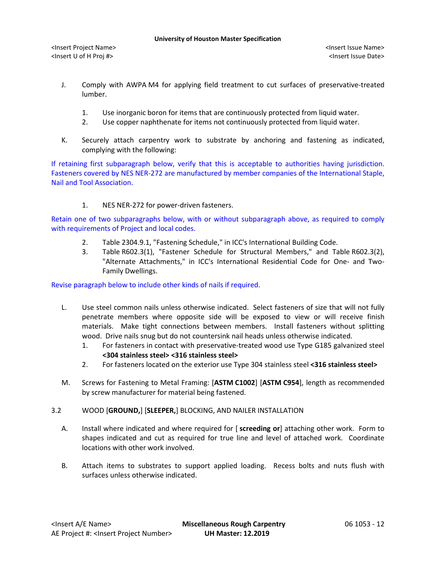- J. Comply with AWPA M4 for applying field treatment to cut surfaces of preservative-treated lumber.
	- 1. Use inorganic boron for items that are continuously protected from liquid water.
	- 2. Use copper naphthenate for items not continuously protected from liquid water.
- K. Securely attach carpentry work to substrate by anchoring and fastening as indicated, complying with the following:

If retaining first subparagraph below, verify that this is acceptable to authorities having jurisdiction. Fasteners covered by NES NER-272 are manufactured by member companies of the International Staple, Nail and Tool Association.

1. NES NER-272 for power-driven fasteners.

Retain one of two subparagraphs below, with or without subparagraph above, as required to comply with requirements of Project and local codes.

- 2. Table 2304.9.1, "Fastening Schedule," in ICC's International Building Code.
- 3. Table R602.3(1), "Fastener Schedule for Structural Members," and Table R602.3(2), "Alternate Attachments," in ICC's International Residential Code for One- and Two-Family Dwellings.

Revise paragraph below to include other kinds of nails if required.

- L. Use steel common nails unless otherwise indicated. Select fasteners of size that will not fully penetrate members where opposite side will be exposed to view or will receive finish materials. Make tight connections between members. Install fasteners without splitting wood. Drive nails snug but do not countersink nail heads unless otherwise indicated.
	- 1. For fasteners in contact with preservative-treated wood use Type G185 galvanized steel **<304 stainless steel> <316 stainless steel>**
	- 2. For fasteners located on the exterior use Type 304 stainless steel **<316 stainless steel>**
- M. Screws for Fastening to Metal Framing: [**ASTM C1002**] [**ASTM C954**], length as recommended by screw manufacturer for material being fastened.

## 3.2 WOOD [**GROUND,**] [**SLEEPER,**] BLOCKING, AND NAILER INSTALLATION

- A. Install where indicated and where required for [ **screeding or**] attaching other work. Form to shapes indicated and cut as required for true line and level of attached work. Coordinate locations with other work involved.
- B. Attach items to substrates to support applied loading. Recess bolts and nuts flush with surfaces unless otherwise indicated.